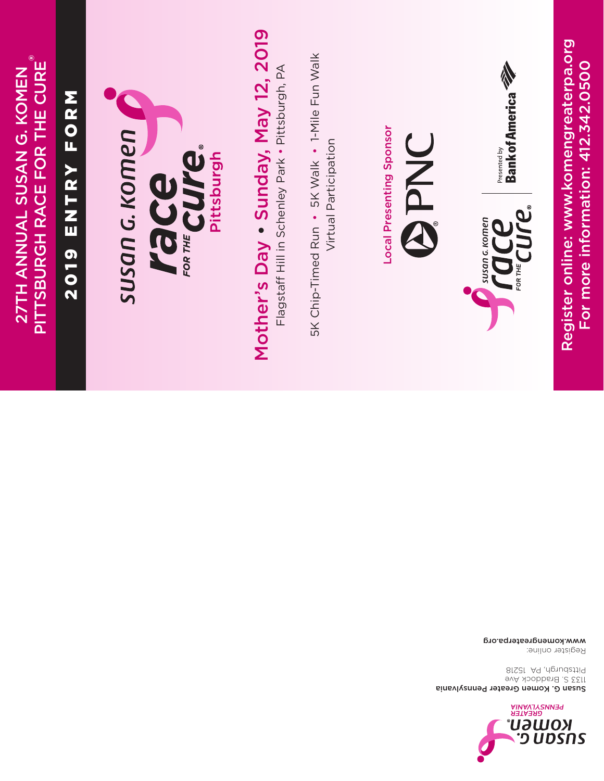

Susan G. Komen Greater Pennsylvania 1133 S. Braddock Ave Pittsburgh, PA 15218

www.komengreaterpa.org Register online:

27TH ANNUAL SUSAN G. KOMEN PITTSBURGH RACE FOR THE CURE 27TH ANNUAL SUSAN G. KOMEN

®

# ENTRY FORM 2019 ENTRY FORM 2019



# Mother's Day . Sunday, May 12, 2019 Mother's Day • Sunday, May 12, 2019

Flagstaff Hill in Schenley Park . Pittsburgh, PA Flagstaff Hill in Schenley Park • Pittsburgh, PA

5K Chip-Timed Run • 5K Walk • 1-Mile Fun Walk 5K Chip-Timed Run • 5K Walk • 1-Mile Fun Walk Virtual Participation Virtual Participation

Local Presenting Sponsor Local Presenting Sponsor

**DNEG** 



Presented by<br>Bank of America

Register online: www.komengreaterpa.org  $\text{Weyl}^{\text{sym}}_{\text{non-fermion}} \left[\begin{array}{c} \text{Weyl} \ \text{Rank of American} \ \text{Bank of American} \ \text{Bank of American} \ \text{Feyl} \end{array}\right]$  Fank of America  $\text{Peyl}$ <br>  $\text{Register online: } \text{www. komenclator} \ \text{For more information: } 412.342.0500$ For more information: 412.342.0500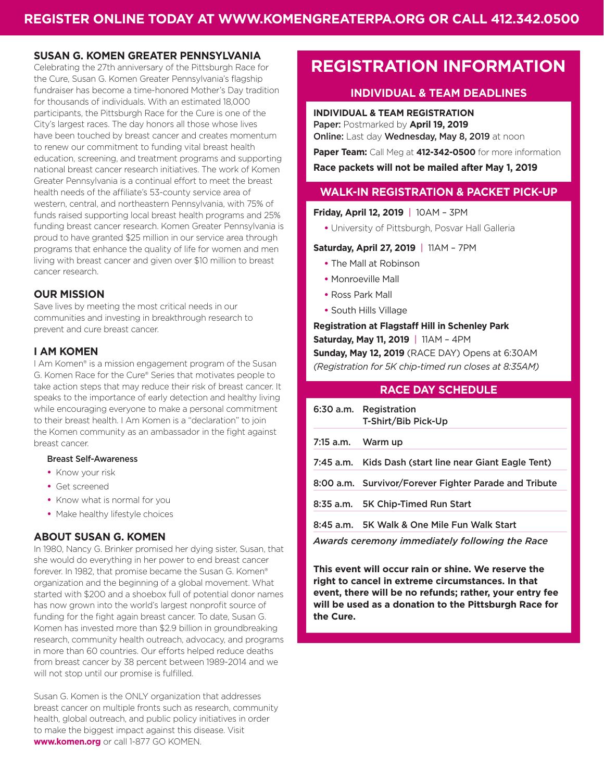### **SUSAN G. KOMEN GREATER PENNSYLVANIA**

Celebrating the 27th anniversary of the Pittsburgh Race for the Cure, Susan G. Komen Greater Pennsylvania's flagship fundraiser has become a time-honored Mother's Day tradition for thousands of individuals. With an estimated 18,000 participants, the Pittsburgh Race for the Cure is one of the City's largest races. The day honors all those whose lives have been touched by breast cancer and creates momentum to renew our commitment to funding vital breast health education, screening, and treatment programs and supporting national breast cancer research initiatives. The work of Komen Greater Pennsylvania is a continual effort to meet the breast health needs of the affiliate's 53-county service area of western, central, and northeastern Pennsylvania, with 75% of funds raised supporting local breast health programs and 25% funding breast cancer research. Komen Greater Pennsylvania is proud to have granted \$25 million in our service area through programs that enhance the quality of life for women and men living with breast cancer and given over \$10 million to breast cancer research.

### **OUR MISSION**

Save lives by meeting the most critical needs in our communities and investing in breakthrough research to prevent and cure breast cancer.

### **I AM KOMEN**

I Am Komen<sup>®</sup> is a mission engagement program of the Susan G. Komen Race for the Cure® Series that motivates people to take action steps that may reduce their risk of breast cancer. It speaks to the importance of early detection and healthy living while encouraging everyone to make a personal commitment to their breast health. I Am Komen is a "declaration" to join the Komen community as an ambassador in the fight against breast cancer.

### Breast Self-Awareness

- **•** Know your risk
- **•** Get screened
- **•** Know what is normal for you
- **•** Make healthy lifestyle choices

### **ABOUT SUSAN G. KOMEN**

In 1980, Nancy G. Brinker promised her dying sister, Susan, that she would do everything in her power to end breast cancer forever. In 1982, that promise became the Susan G. Komen® organization and the beginning of a global movement. What started with \$200 and a shoebox full of potential donor names has now grown into the world's largest nonprofit source of funding for the fight again breast cancer. To date, Susan G. Komen has invested more than \$2.9 billion in groundbreaking research, community health outreach, advocacy, and programs in more than 60 countries. Our efforts helped reduce deaths from breast cancer by 38 percent between 1989-2014 and we will not stop until our promise is fulfilled.

Susan G. Komen is the ONLY organization that addresses breast cancer on multiple fronts such as research, community health, global outreach, and public policy initiatives in order to make the biggest impact against this disease. Visit **www.komen.org** or call 1-877 GO KOMEN.

## **REGISTRATION INFORMATION**

### **INDIVIDUAL & TEAM DEADLINES**

**INDIVIDUAL & TEAM REGISTRATION** Paper: Postmarked by **April 19, 2019** Online: Last day Wednesday, May 8, 2019 at noon

**Paper Team:** Call Meg at **412-342-0500** for more information

**Race packets will not be mailed after May 1, 2019**

### **WALK-IN REGISTRATION & PACKET PICK-UP**

**Friday, April 12, 2019** | 10AM – 3PM

**•** University of Pittsburgh, Posvar Hall Galleria

### **Saturday, April 27, 2019** | 11AM – 7PM

- **•** The Mall at Robinson
- **•** Monroeville Mall
- **•** Ross Park Mall
- **•** South Hills Village

**Registration at Flagstaff Hill in Schenley Park Saturday, May 11, 2019** | 11AM – 4PM **Sunday, May 12, 2019** (RACE DAY) Opens at 6:30AM *(Registration for 5K chip-timed run closes at 8:35AM)*

### **RACE DAY SCHEDULE**

|                   | 6:30 a.m. Registration<br>T-Shirt/Bib Pick-Up          |
|-------------------|--------------------------------------------------------|
| 7:15 a.m. Warm up |                                                        |
|                   | 7:45 a.m. Kids Dash (start line near Giant Eagle Tent) |
|                   | 8:00 a.m. Survivor/Forever Fighter Parade and Tribute  |
|                   | 8:35 a.m. 5K Chip-Timed Run Start                      |
|                   | 8:45 a.m. 5K Walk & One Mile Fun Walk Start            |
|                   |                                                        |

*Awards ceremony immediately following the Race*

**This event will occur rain or shine. We reserve the right to cancel in extreme circumstances. In that event, there will be no refunds; rather, your entry fee will be used as a donation to the Pittsburgh Race for the Cure.**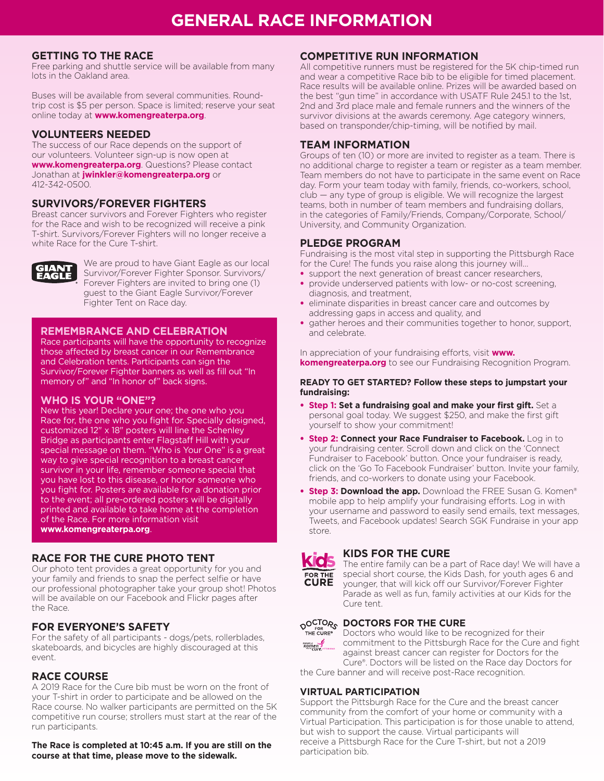### **GETTING TO THE RACE**

Free parking and shuttle service will be available from many lots in the Oakland area.

Buses will be available from several communities. Roundtrip cost is \$5 per person. Space is limited; reserve your seat online today at **www.komengreaterpa.org**.

### **VOLUNTEERS NEEDED**

The success of our Race depends on the support of our volunteers. Volunteer sign-up is now open at **www.komengreaterpa.org**. Questions? Please contact Jonathan at **jwinkler@komengreaterpa.org** or 412-342-0500.

### **SURVIVORS/FOREVER FIGHTERS**

Breast cancer survivors and Forever Fighters who register for the Race and wish to be recognized will receive a pink T-shirt. Survivors/Forever Fighters will no longer receive a white Race for the Cure T-shirt.



We are proud to have Giant Eagle as our local Survivor/Forever Fighter Sponsor. Survivors/ Forever Fighters are invited to bring one (1) guest to the Giant Eagle Survivor/Forever Fighter Tent on Race day.

### **REMEMBRANCE AND CELEBRATION**

Race participants will have the opportunity to recognize those affected by breast cancer in our Remembrance and Celebration tents. Participants can sign the Survivor/Forever Fighter banners as well as fill out "In memory of" and "In honor of" back signs.

### **WHO IS YOUR "ONE"?**

New this year! Declare your one; the one who you Race for, the one who you fight for. Specially designed, customized 12" x 18" posters will line the Schenley Bridge as participants enter Flagstaff Hill with your special message on them. "Who is Your One" is a great way to give special recognition to a breast cancer survivor in your life, remember someone special that you have lost to this disease, or honor someone who you fight for. Posters are available for a donation prior to the event; all pre-ordered posters will be digitally printed and available to take home at the completion of the Race. For more information visit **www.komengreaterpa.org**.

### **RACE FOR THE CURE PHOTO TENT**

Our photo tent provides a great opportunity for you and your family and friends to snap the perfect selfie or have our professional photographer take your group shot! Photos will be available on our Facebook and Flickr pages after the Race.

### **FOR EVERYONE'S SAFETY**

For the safety of all participants - dogs/pets, rollerblades, skateboards, and bicycles are highly discouraged at this event.

### **RACE COURSE**

A 2019 Race for the Cure bib must be worn on the front of your T-shirt in order to participate and be allowed on the Race course. No walker participants are permitted on the 5K competitive run course; strollers must start at the rear of the run participants.

**The Race is completed at 10:45 a.m. If you are still on the course at that time, please move to the sidewalk.**

### **COMPETITIVE RUN INFORMATION**

All competitive runners must be registered for the 5K chip-timed run and wear a competitive Race bib to be eligible for timed placement. Race results will be available online. Prizes will be awarded based on the best "gun time" in accordance with USATF Rule 245.1 to the 1st, 2nd and 3rd place male and female runners and the winners of the survivor divisions at the awards ceremony. Age category winners, based on transponder/chip-timing, will be notified by mail.

### **TEAM INFORMATION**

Groups of ten (10) or more are invited to register as a team. There is no additional charge to register a team or register as a team member. Team members do not have to participate in the same event on Race day. Form your team today with family, friends, co-workers, school, club — any type of group is eligible. We will recognize the largest teams, both in number of team members and fundraising dollars, in the categories of Family/Friends, Company/Corporate, School/ University, and Community Organization.

### **PLEDGE PROGRAM**

Fundraising is the most vital step in supporting the Pittsburgh Race for the Cure! The funds you raise along this journey will…

- support the next generation of breast cancer researchers. • provide underserved patients with low- or no-cost screening,
- diagnosis, and treatment, • eliminate disparities in breast cancer care and outcomes by
- addressing gaps in access and quality, and
- gather heroes and their communities together to honor, support, and celebrate.

In appreciation of your fundraising efforts, visit **[www.](http://www.komengreaterpa.org) [komengreaterpa.org](http://www.komengreaterpa.org)** to see our Fundraising Recognition Program.

### **READY TO GET STARTED? Follow these steps to jumpstart your fundraising:**

- **Step 1: Set a fundraising goal and make your first gift.** Set a personal goal today. We suggest \$250, and make the first gift yourself to show your commitment!
- **Step 2: Connect your Race Fundraiser to Facebook.** Log in to your fundraising center. Scroll down and click on the 'Connect Fundraiser to Facebook' button. Once your fundraiser is ready, click on the 'Go To Facebook Fundraiser' button. Invite your family, friends, and co-workers to donate using your Facebook.
- **Step 3: Download the app.** Download the FREE Susan G. Komen® mobile app to help amplify your fundraising efforts. Log in with your username and password to easily send emails, text messages, Tweets, and Facebook updates! Search SGK Fundraise in your app store.

### **KIDS FOR THE CURE**



The entire family can be a part of Race day! We will have a special short course, the Kids Dash, for youth ages 6 and younger, that will kick off our Survivor/Forever Fighter Parade as well as fun, family activities at our Kids for the Cure tent.

### **OOCTORS FOR THE CURE**



Doctors who would like to be recognized for their commitment to the Pittsburgh Race for the Cure and fight against breast cancer can register for Doctors for the Cure®. Doctors will be listed on the Race day Doctors for

the Cure banner and will receive post-Race recognition.

### **VIRTUAL PARTICIPATION**

Support the Pittsburgh Race for the Cure and the breast cancer community from the comfort of your home or community with a Virtual Participation. This participation is for those unable to attend, but wish to support the cause. Virtual participants will receive a Pittsburgh Race for the Cure T-shirt, but not a 2019 participation bib.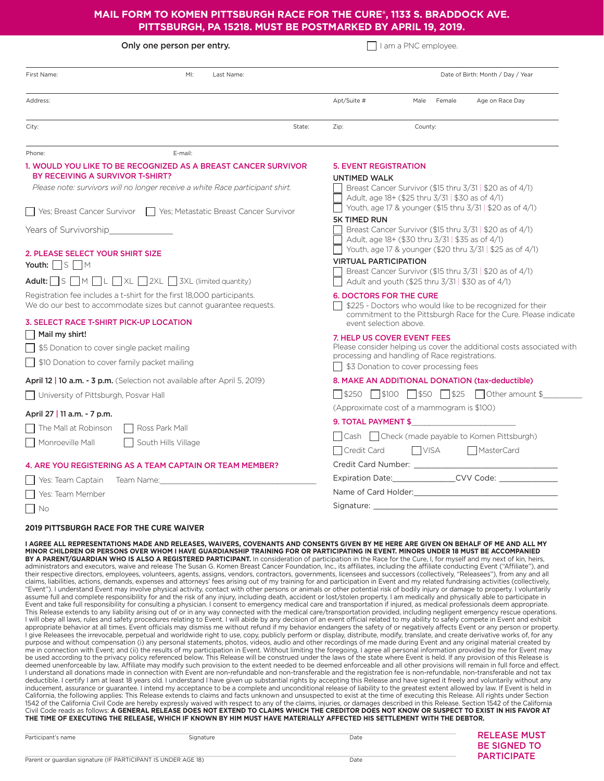### **MAIL FORM TO KOMEN PITTSBURGH RACE FOR THE CURE®, 1133 S. BRADDOCK AVE. PITTSBURGH, PA 15218. MUST BE POSTMARKED BY APRIL 19, 2019.**

| Only one person per entry.                                                                                                                                                                                                                                                                                                                                                                                                                       | I am a PNC employee.                                                                                                                                           |  |  |
|--------------------------------------------------------------------------------------------------------------------------------------------------------------------------------------------------------------------------------------------------------------------------------------------------------------------------------------------------------------------------------------------------------------------------------------------------|----------------------------------------------------------------------------------------------------------------------------------------------------------------|--|--|
| First Name:<br>MI:<br>Last Name:                                                                                                                                                                                                                                                                                                                                                                                                                 | Date of Birth: Month / Day / Year                                                                                                                              |  |  |
| Address:                                                                                                                                                                                                                                                                                                                                                                                                                                         | Apt/Suite #<br>Male<br>Female<br>Age on Race Day                                                                                                               |  |  |
| City:<br>State:                                                                                                                                                                                                                                                                                                                                                                                                                                  | County:<br>Zip:                                                                                                                                                |  |  |
| E-mail:<br>Phone:                                                                                                                                                                                                                                                                                                                                                                                                                                |                                                                                                                                                                |  |  |
| 1. WOULD YOU LIKE TO BE RECOGNIZED AS A BREAST CANCER SURVIVOR<br>BY RECEIVING A SURVIVOR T-SHIRT?                                                                                                                                                                                                                                                                                                                                               | <b>5. EVENT REGISTRATION</b><br><b>UNTIMED WALK</b>                                                                                                            |  |  |
| Please note: survivors will no longer receive a white Race participant shirt.                                                                                                                                                                                                                                                                                                                                                                    | Breast Cancer Survivor (\$15 thru 3/31   \$20 as of 4/1)<br>Adult, age 18+ (\$25 thru 3/31   \$30 as of 4/1)                                                   |  |  |
| Yes; Breast Cancer Survivor<br>  Yes; Metastatic Breast Cancer Survivor                                                                                                                                                                                                                                                                                                                                                                          | Youth, age 17 & younger (\$15 thru 3/31   \$20 as of 4/1)                                                                                                      |  |  |
| Years of Survivorship                                                                                                                                                                                                                                                                                                                                                                                                                            | <b>5K TIMED RUN</b><br>Breast Cancer Survivor (\$15 thru $3/31$   \$20 as of 4/1)<br>Adult, age 18+ (\$30 thru 3/31   \$35 as of 4/1)                          |  |  |
| 2. PLEASE SELECT YOUR SHIRT SIZE                                                                                                                                                                                                                                                                                                                                                                                                                 | Youth, age 17 & younger (\$20 thru 3/31   \$25 as of 4/1)                                                                                                      |  |  |
| Youth: $\Box$ S $\Box$ M                                                                                                                                                                                                                                                                                                                                                                                                                         | <b>VIRTUAL PARTICIPATION</b><br>Breast Cancer Survivor (\$15 thru $3/31$   \$20 as of 4/1)                                                                     |  |  |
| Adult: $\Box$ S $\Box$ M $\Box$ L $\Box$ XL $\Box$ 2XL $\Box$ 3XL (limited quantity)                                                                                                                                                                                                                                                                                                                                                             | Adult and youth (\$25 thru $3/31$   \$30 as of 4/1)                                                                                                            |  |  |
| Registration fee includes a t-shirt for the first 18,000 participants.<br>We do our best to accommodate sizes but cannot guarantee requests.                                                                                                                                                                                                                                                                                                     | <b>6. DOCTORS FOR THE CURE</b><br>\$225 - Doctors who would like to be recognized for their<br>commitment to the Pittsburgh Race for the Cure. Please indicate |  |  |
| 3. SELECT RACE T-SHIRT PICK-UP LOCATION                                                                                                                                                                                                                                                                                                                                                                                                          | event selection above.                                                                                                                                         |  |  |
| Mail my shirt!                                                                                                                                                                                                                                                                                                                                                                                                                                   | 7. HELP US COVER EVENT FEES                                                                                                                                    |  |  |
| \$5 Donation to cover single packet mailing                                                                                                                                                                                                                                                                                                                                                                                                      | Please consider helping us cover the additional costs associated with<br>processing and handling of Race registrations.                                        |  |  |
| \$10 Donation to cover family packet mailing                                                                                                                                                                                                                                                                                                                                                                                                     | \$3 Donation to cover processing fees                                                                                                                          |  |  |
| <b>April 12   10 a.m. - 3 p.m.</b> (Selection not available after April 5, 2019)                                                                                                                                                                                                                                                                                                                                                                 | 8. MAKE AN ADDITIONAL DONATION (tax-deductible)                                                                                                                |  |  |
| University of Pittsburgh, Posvar Hall                                                                                                                                                                                                                                                                                                                                                                                                            | <u> </u> \$250   \$100   \$50   \$25   Other amount \$                                                                                                         |  |  |
| April 27   11 a.m. - 7 p.m.                                                                                                                                                                                                                                                                                                                                                                                                                      | (Approximate cost of a mammogram is \$100)                                                                                                                     |  |  |
| The Mall at Robinson<br>Ross Park Mall                                                                                                                                                                                                                                                                                                                                                                                                           | 9. TOTAL PAYMENT \$                                                                                                                                            |  |  |
| Monroeville Mall<br>South Hills Village                                                                                                                                                                                                                                                                                                                                                                                                          | Check (made payable to Komen Pittsburgh)<br>  Cash                                                                                                             |  |  |
|                                                                                                                                                                                                                                                                                                                                                                                                                                                  | Credit Card<br><b>VISA</b><br>MasterCard                                                                                                                       |  |  |
| 4. ARE YOU REGISTERING AS A TEAM CAPTAIN OR TEAM MEMBER?                                                                                                                                                                                                                                                                                                                                                                                         | Credit Card Number:                                                                                                                                            |  |  |
| Yes: Team Captain<br>Team Name:                                                                                                                                                                                                                                                                                                                                                                                                                  |                                                                                                                                                                |  |  |
| Yes: Team Member                                                                                                                                                                                                                                                                                                                                                                                                                                 |                                                                                                                                                                |  |  |
| – I No                                                                                                                                                                                                                                                                                                                                                                                                                                           |                                                                                                                                                                |  |  |
| <b>2019 PITTSBURGH RACE FOR THE CURE WAIVER</b>                                                                                                                                                                                                                                                                                                                                                                                                  |                                                                                                                                                                |  |  |
| I AGREE ALL REPRESENTATIONS MADE AND RELEASES, WAIVERS, COVENANTS AND CONSENTS GIVEN BY ME HERE ARE GIVEN ON BEHALF OF ME AND ALL MY<br>MINOR CHILDREN OR PERSONS OVER WHOM I HAVE GUARDIANSHIP TRAINING FOR OR PARTICIPATING IN EVENT. MINORS UNDER 18 MUST BE ACCOMPANIED<br><b>BY A PARENT/GUARDIAN WHO IS ALSO A REGISTERED PARTICIPANT</b> In consideration of participation in the Race for the Cure L for myself and my next of kin heirs |                                                                                                                                                                |  |  |

**BY A PARENT/GUARDIAN WHO IS ALSO A REGISTERED PARTICIPANT.** In consideration of participation in the Race for the Cure, I, for myself and my next of kin, heirs, administrators and executors, waive and release The Susan G. Komen Breast Cancer Foundation, Inc., its affiliates, including the affiliate conducting Event ("Affiliate"), and their respective directors, employees, volunteers, agents, assigns, vendors, contractors, governments, licensees and successors (collectively, "Releasees"), from any and all claims, liabilities, actions, demands, expenses and attorneys' fees arising out of my training for and participation in Event and my related fundraising activities (collectively, "Event"). I understand Event may involve physical activity, contact with other persons or animals or other potential risk of bodily injury or damage to property. I voluntarily<br>assume full and complete responsibility for an Event and take full responsibility for consulting a physician. I consent to emergency medical care and transportation if injured, as medical professionals deem appropriate. This Release extends to any liability arising out of or in any way connected with the medical care/transportation provided, including negligent emergency rescue operations. I will obey all laws, rules and safety procedures relating to Event. I will abide by any decision of an event official related to my ability to safely compete in Event and exhibit appropriate behavior at all times. Event officials may dismiss me without refund if my behavior endangers the safety of or negatively affects Event or any person or property. I give Releasees the irrevocable, perpetual and worldwide right to use, copy, publicly perform or display, distribute, modify, translate, and create derivative works of, for any purpose and without compensation (i) any personal statements, photos, videos, audio and other recordings of me made during Event and any original material created by me in connection with Event; and (ii) the results of my participation in Event. Without limiting the foregoing, I agree all personal information provided by me for Event may be used according to the privacy policy referenced below. This Release will be construed under the laws of the state where Event is held. If any provision of this Release is deemed unenforceable by law, Affiliate may modify such provision to the extent needed to be deemed enforceable and all other provisions will remain in full force and effect. I understand all donations made in connection with Event are non-refundable and non-transferable and the registration fee is non-refundable, non-transferable and not tax<br>deductible. I certify I am at least 18 years old. I inducement, assurance or guarantee. I intend my acceptance to be a complete and unconditional release of liability to the greatest extent allowed by law. If Event is held in California, the following applies: This Release extends to claims and facts unknown and unsuspected to exist at the time of executing this Release. All rights under Section 1542 of the California Civil Code are hereby expressly waived with respect to any of the claims, injuries, or damages described in this Release. Section 1542 of the California Civil Code reads as follows: A GENERAL RELEASE DOES NOT EXTEND TO CLAIMS WHICH THE CREDITOR DOES NOT KNOW OR SUSPECT TO EXIST IN HIS FAVOR AT **THE TIME OF EXECUTING THE RELEASE, WHICH IF KNOWN BY HIM MUST HAVE MATERIALLY AFFECTED HIS SETTLEMENT WITH THE DEBTOR.**

| Participant's name                                            | Signature | Date | <b>RELEASE MUST</b><br><b>BE SIGNED TO</b><br><b>PARTICIPATE</b> |
|---------------------------------------------------------------|-----------|------|------------------------------------------------------------------|
| Parent or guardian signature (IF PARTICIPANT IS UNDER AGE 18) |           | Date |                                                                  |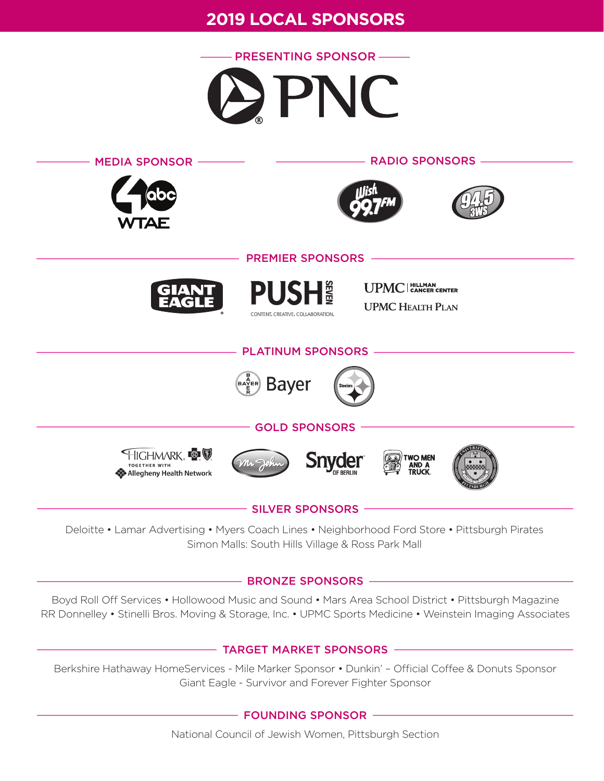# **2019 LOCAL SPONSORS**





Deloitte • Lamar Advertising • Myers Coach Lines • Neighborhood Ford Store • Pittsburgh Pirates Simon Malls: South Hills Village & Ross Park Mall

### - BRONZE SPONSORS -

Boyd Roll Off Services • Hollowood Music and Sound • Mars Area School District • Pittsburgh Magazine RR Donnelley • Stinelli Bros. Moving & Storage, Inc. • UPMC Sports Medicine • Weinstein Imaging Associates

### - TARGET MARKET SPONSORS -

Berkshire Hathaway HomeServices - Mile Marker Sponsor • Dunkin' – Official Coffee & Donuts Sponsor Giant Eagle - Survivor and Forever Fighter Sponsor

- FOUNDING SPONSOR -

National Council of Jewish Women, Pittsburgh Section